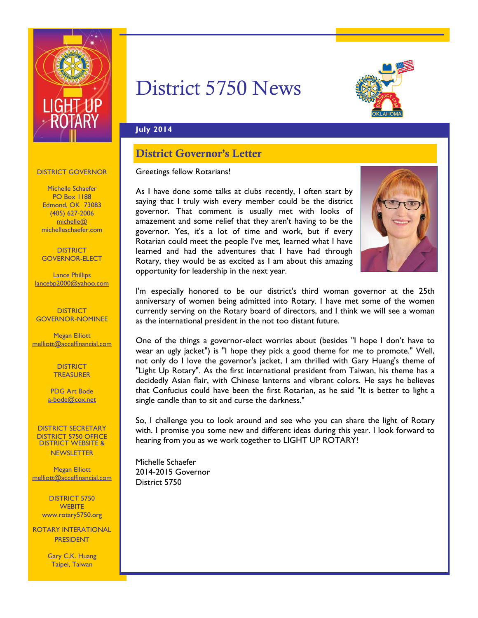

# District 5750 News



### **July 2014**

# District Governor's Letter

### Greetings fellow Rotarians!

As I have done some talks at clubs recently, I often start by saying that I truly wish every member could be the district governor. That comment is usually met with looks of amazement and some relief that they aren't having to be the governor. Yes, it's a lot of time and work, but if every Rotarian could meet the people I've met, learned what I have learned and had the adventures that I have had through Rotary, they would be as excited as I am about this amazing opportunity for leadership in the next year.



I'm especially honored to be our district's third woman governor at the 25th anniversary of women being admitted into Rotary. I have met some of the women currently serving on the Rotary board of directors, and I think we will see a woman as the international president in the not too distant future.

One of the things a governor-elect worries about (besides "I hope I don't have to wear an ugly jacket") is "I hope they pick a good theme for me to promote." Well, not only do I love the governor's jacket, I am thrilled with Gary Huang's theme of "Light Up Rotary". As the first international president from Taiwan, his theme has a decidedly Asian flair, with Chinese lanterns and vibrant colors. He says he believes that Confucius could have been the first Rotarian, as he said "It is better to light a single candle than to sit and curse the darkness."

So, I challenge you to look around and see who you can share the light of Rotary with. I promise you some new and different ideas during this year. I look forward to hearing from you as we work together to LIGHT UP ROTARY!

Michelle Schaefer 2014-2015 Governor District 5750

### DISTRICT GOVERNOR

Michelle Schaefer PO Box 1188 Edmond, OK 73083 (405) 627-2006 michelle@ michelleschaefer.com

**DISTRICT** GOVERNOR-ELECT

Lance Phillips lancebp2000@yahoo.com

**DISTRICT** GOVERNOR-NOMINEE

Megan Elliott melliott@accelfinancial.com

> **DISTRICT TREASURER**

PDG Art Bode a-bode@cox.net

DISTRICT SECRETARY DISTRICT 5750 OFFICE DISTRICT WEBSITE & **NEWSLETTER** 

Megan Elliott melliott@accelfinancial.com

DISTRICT 5750 **WEBITE** www.rotary5750.org

ROTARY INTERATIONAL PRESIDENT

> Gary C.K. Huang Taipei, Taiwan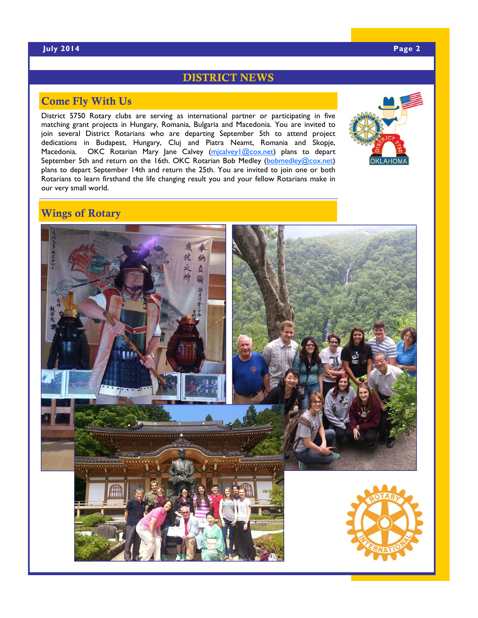### DISTRICT NEWS

# Come Fly With Us

District 5750 Rotary clubs are serving as international partner or participating in five matching grant projects in Hungary, Romania, Bulgaria and Macedonia. You are invited to join several District Rotarians who are departing September 5th to attend project dedications in Budapest, Hungary, Cluj and Piatra Neamt, Romania and Skopje, Macedonia. OKC Rotarian Mary Jane Calvey (micalvey1@cox.net) plans to depart September 5th and return on the 16th. OKC Rotarian Bob Medley (bobmedley@cox.net) plans to depart September 14th and return the 25th. You are invited to join one or both Rotarians to learn firsthand the life changing result you and your fellow Rotarians make in our very small world.



# Wings of Rotary

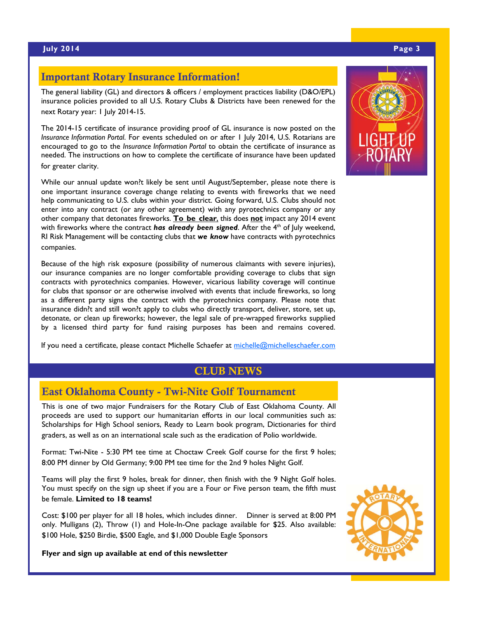### Important Rotary Insurance Information!

The general liability (GL) and directors & officers / employment practices liability (D&O/EPL) insurance policies provided to all U.S. Rotary Clubs & Districts have been renewed for the next Rotary year: 1 July 2014-15.

The 2014-15 certificate of insurance providing proof of GL insurance is now posted on the *Insurance Information Portal*. For events scheduled on or after 1 July 2014, U.S. Rotarians are encouraged to go to the *Insurance Information Portal* to obtain the certificate of insurance as needed. The instructions on how to complete the certificate of insurance have been updated for greater clarity.

While our annual update won?t likely be sent until August/September, please note there is one important insurance coverage change relating to events with fireworks that we need help communicating to U.S. clubs within your district. Going forward, U.S. Clubs should not enter into any contract (or any other agreement) with any pyrotechnics company or any other company that detonates fireworks. **To be clear**, this does **not** impact any 2014 event with fireworks where the contract *has already been signed*. After the 4<sup>th</sup> of July weekend, RI Risk Management will be contacting clubs that *we know* have contracts with pyrotechnics companies.

Because of the high risk exposure (possibility of numerous claimants with severe injuries), our insurance companies are no longer comfortable providing coverage to clubs that sign contracts with pyrotechnics companies. However, vicarious liability coverage will continue for clubs that sponsor or are otherwise involved with events that include fireworks, so long as a different party signs the contract with the pyrotechnics company. Please note that insurance didn?t and still won?t apply to clubs who directly transport, deliver, store, set up, detonate, or clean up fireworks; however, the legal sale of pre-wrapped fireworks supplied by a licensed third party for fund raising purposes has been and remains covered.

If you need a certificate, please contact Michelle Schaefer at michelle@michelleschaefer.com

### CLUB NEWS

### East Oklahoma County - Twi-Nite Golf Tournament

This is one of two major Fundraisers for the Rotary Club of East Oklahoma County. All proceeds are used to support our humanitarian efforts in our local communities such as: Scholarships for High School seniors, Ready to Learn book program, Dictionaries for third graders, as well as on an international scale such as the eradication of Polio worldwide.

Format: Twi-Nite - 5:30 PM tee time at Choctaw Creek Golf course for the first 9 holes; 8:00 PM dinner by Old Germany; 9:00 PM tee time for the 2nd 9 holes Night Golf.

Teams will play the first 9 holes, break for dinner, then finish with the 9 Night Golf holes. You must specify on the sign up sheet if you are a Four or Five person team, the fifth must be female. **Limited to 18 teams!** 

Cost: \$100 per player for all 18 holes, which includes dinner. Dinner is served at 8:00 PM only. Mulligans (2), Throw (1) and Hole-In-One package available for \$25. Also available: \$100 Hole, \$250 Birdie, \$500 Eagle, and \$1,000 Double Eagle Sponsors

**Flyer and sign up available at end of this newsletter**



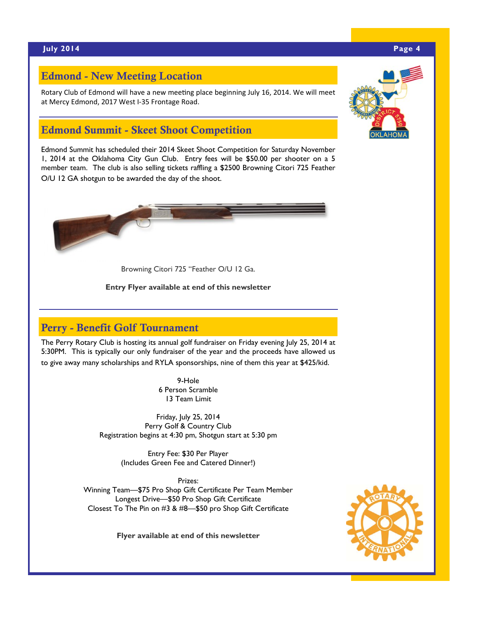## Edmond - New Meeting Location

Rotary Club of Edmond will have a new meeting place beginning July 16, 2014. We will meet at Mercy Edmond, 2017 West I‐35 Frontage Road.

## Edmond Summit - Skeet Shoot Competition

Edmond Summit has scheduled their 2014 Skeet Shoot Competition for Saturday November 1, 2014 at the Oklahoma City Gun Club. Entry fees will be \$50.00 per shooter on a 5 member team. The club is also selling tickets raffling a \$2500 Browning Citori 725 Feather O/U 12 GA shotgun to be awarded the day of the shoot.



Browning Citori 725 "Feather O/U 12 Ga.

**Entry Flyer available at end of this newsletter**

# Perry - Benefit Golf Tournament

The Perry Rotary Club is hosting its annual golf fundraiser on Friday evening July 25, 2014 at 5:30PM. This is typically our only fundraiser of the year and the proceeds have allowed us to give away many scholarships and RYLA sponsorships, nine of them this year at \$425/kid.

> 9-Hole 6 Person Scramble 13 Team Limit

Friday, July 25, 2014 Perry Golf & Country Club Registration begins at 4:30 pm, Shotgun start at 5:30 pm

> Entry Fee: \$30 Per Player (Includes Green Fee and Catered Dinner!)

Prizes: Winning Team—\$75 Pro Shop Gift Certificate Per Team Member Longest Drive—\$50 Pro Shop Gift Certificate Closest To The Pin on #3 & #8—\$50 pro Shop Gift Certificate

**Flyer available at end of this newsletter**



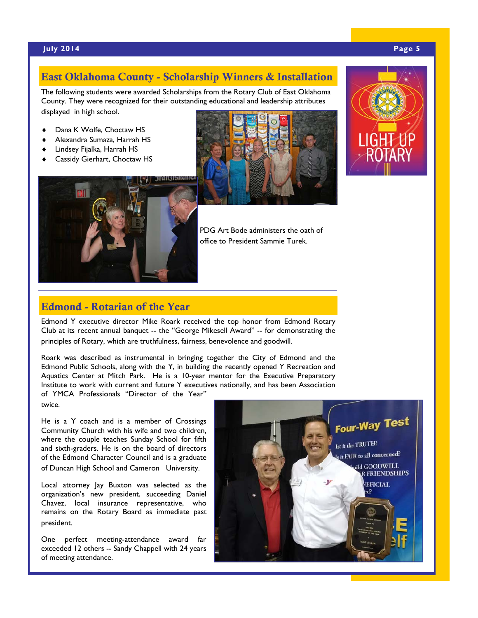### East Oklahoma County - Scholarship Winners & Installation

The following students were awarded Scholarships from the Rotary Club of East Oklahoma County. They were recognized for their outstanding educational and leadership attributes displayed in high school.

- Dana K Wolfe, Choctaw HS
- Alexandra Sumaza, Harrah HS
- Lindsey Fijalka, Harrah HS
- Cassidy Gierhart, Choctaw HS







PDG Art Bode administers the oath of office to President Sammie Turek.

### Edmond - Rotarian of the Year

Edmond Y executive director Mike Roark received the top honor from Edmond Rotary Club at its recent annual banquet -- the "George Mikesell Award" -- for demonstrating the principles of Rotary, which are truthfulness, fairness, benevolence and goodwill.

Roark was described as instrumental in bringing together the City of Edmond and the Edmond Public Schools, along with the Y, in building the recently opened Y Recreation and Aquatics Center at Mitch Park. He is a 10-year mentor for the Executive Preparatory Institute to work with current and future Y executives nationally, and has been Association of YMCA Professionals "Director of the Year"

twice.

He is a Y coach and is a member of Crossings Community Church with his wife and two children, where the couple teaches Sunday School for fifth and sixth-graders. He is on the board of directors of the Edmond Character Council and is a graduate of Duncan High School and Cameron University.

Local attorney Jay Buxton was selected as the organization's new president, succeeding Daniel Chavez, local insurance representative, who remains on the Rotary Board as immediate past president.

One perfect meeting-attendance award far exceeded 12 others -- Sandy Chappell with 24 years of meeting attendance.

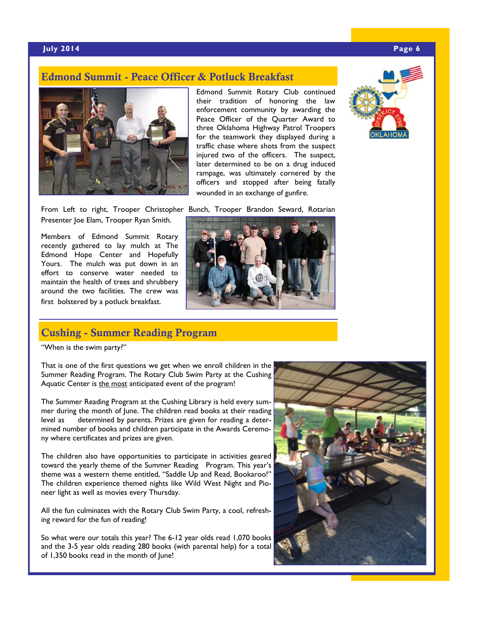### Edmond Summit - Peace Officer & Potluck Breakfast



Edmond Summit Rotary Club continued their tradition of honoring the law enforcement community by awarding the Peace Officer of the Quarter Award to three Oklahoma Highway Patrol Troopers for the teamwork they displayed during a traffic chase where shots from the suspect injured two of the officers. The suspect, later determined to be on a drug induced rampage, was ultimately cornered by the officers and stopped after being fatally wounded in an exchange of gunfire.



From Left to right, Trooper Christopher Bunch, Trooper Brandon Seward, Rotarian Presenter Joe Elam, Trooper Ryan Smith.

Members of Edmond Summit Rotary recently gathered to lay mulch at The Edmond Hope Center and Hopefully Yours. The mulch was put down in an effort to conserve water needed to maintain the health of trees and shrubbery around the two facilities. The crew was first bolstered by a potluck breakfast.



### Cushing - Summer Reading Program

"When is the swim party?"

That is one of the first questions we get when we enroll children in the Summer Reading Program. The Rotary Club Swim Party at the Cushing Aquatic Center is the most anticipated event of the program!

The Summer Reading Program at the Cushing Library is held every summer during the month of June. The children read books at their reading level as determined by parents. Prizes are given for reading a determined number of books and children participate in the Awards Ceremony where certificates and prizes are given.

The children also have opportunities to participate in activities geared toward the yearly theme of the Summer Reading Program. This year's theme was a western theme entitled, "Saddle Up and Read, Bookaroo!" The children experience themed nights like Wild West Night and Pioneer light as well as movies every Thursday.

All the fun culminates with the Rotary Club Swim Party, a cool, refreshing reward for the fun of reading!

So what were our totals this year? The 6-12 year olds read 1,070 books and the 3-5 year olds reading 280 books (with parental help) for a total of 1,350 books read in the month of June!

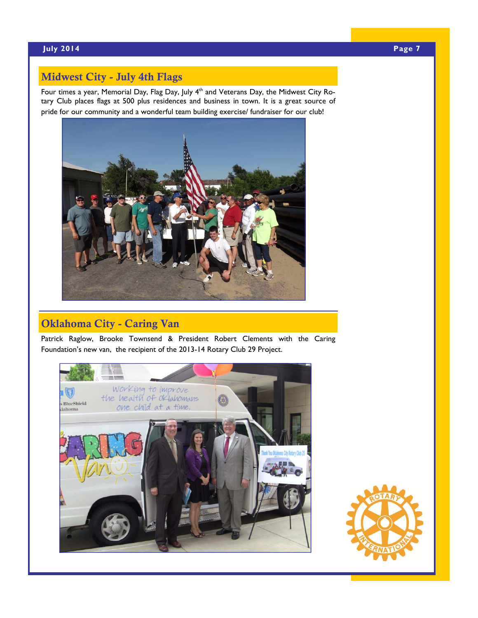# Midwest City - July 4th Flags

Four times a year, Memorial Day, Flag Day, July 4<sup>th</sup> and Veterans Day, the Midwest City Rotary Club places flags at 500 plus residences and business in town. It is a great source of pride for our community and a wonderful team building exercise/ fundraiser for our club!



# Oklahoma City - Caring Van

Patrick Raglow, Brooke Townsend & President Robert Clements with the Caring Foundation's new van, the recipient of the 2013-14 Rotary Club 29 Project.